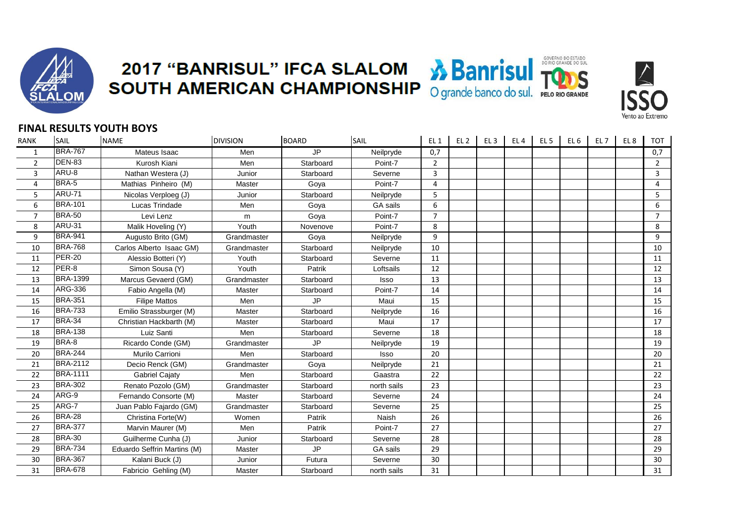

## **2017 "BANRISUL" IFCA SLALOM & Banrisul TODS**<br>SOUTH AMERICAN CHAMPIONSHIP O grande banco do sul. PELO RIO GRANDE





## **FINAL RESULTS YOUTH BOYS**

| RANK           | SAIL            | <b>NAME</b>                 | <b>DIVISION</b> | <b>BOARD</b> | <b>SAIL</b> | EL <sub>1</sub> | EL <sub>2</sub> | EL <sub>3</sub> | EL <sub>4</sub> | EL <sub>5</sub> | EL <sub>6</sub> | EL <sub>7</sub> | EL <sub>8</sub> | <b>TOT</b>     |
|----------------|-----------------|-----------------------------|-----------------|--------------|-------------|-----------------|-----------------|-----------------|-----------------|-----------------|-----------------|-----------------|-----------------|----------------|
| 1              | <b>BRA-767</b>  | Mateus Isaac                | Men             | <b>JP</b>    | Neilpryde   | 0,7             |                 |                 |                 |                 |                 |                 |                 | 0,7            |
| $\overline{2}$ | <b>DEN-83</b>   | Kurosh Kiani                | Men             | Starboard    | Point-7     | $\overline{2}$  |                 |                 |                 |                 |                 |                 |                 | $\overline{2}$ |
| 3              | ARU-8           | Nathan Westera (J)          | Junior          | Starboard    | Severne     | 3               |                 |                 |                 |                 |                 |                 |                 | 3              |
| 4              | BRA-5           | Mathias Pinheiro (M)        | Master          | Goya         | Point-7     | 4               |                 |                 |                 |                 |                 |                 |                 | 4              |
| 5              | <b>ARU-71</b>   | Nicolas Verploeg (J)        | Junior          | Starboard    | Neilpryde   | 5               |                 |                 |                 |                 |                 |                 |                 | 5              |
| 6              | <b>BRA-101</b>  | Lucas Trindade              | Men             | Goya         | GA sails    | 6               |                 |                 |                 |                 |                 |                 |                 | 6              |
| $\overline{7}$ | <b>BRA-50</b>   | Levi Lenz                   | m               | Goya         | Point-7     | $\overline{7}$  |                 |                 |                 |                 |                 |                 |                 | $\overline{7}$ |
| 8              | <b>ARU-31</b>   | Malik Hoveling (Y)          | Youth           | Novenove     | Point-7     | 8               |                 |                 |                 |                 |                 |                 |                 | 8              |
| 9              | <b>BRA-941</b>  | Augusto Brito (GM)          | Grandmaster     | Goya         | Neilpryde   | 9               |                 |                 |                 |                 |                 |                 |                 | 9              |
| 10             | <b>BRA-768</b>  | Carlos Alberto Isaac GM)    | Grandmaster     | Starboard    | Neilpryde   | 10              |                 |                 |                 |                 |                 |                 |                 | 10             |
| 11             | <b>PER-20</b>   | Alessio Botteri (Y)         | Youth           | Starboard    | Severne     | 11              |                 |                 |                 |                 |                 |                 |                 | 11             |
| 12             | PER-8           | Simon Sousa (Y)             | Youth           | Patrik       | Loftsails   | 12              |                 |                 |                 |                 |                 |                 |                 | 12             |
| 13             | <b>BRA-1399</b> | Marcus Gevaerd (GM)         | Grandmaster     | Starboard    | Isso        | 13              |                 |                 |                 |                 |                 |                 |                 | 13             |
| 14             | ARG-336         | Fabio Angella (M)           | Master          | Starboard    | Point-7     | 14              |                 |                 |                 |                 |                 |                 |                 | 14             |
| 15             | <b>BRA-351</b>  | <b>Filipe Mattos</b>        | Men             | <b>JP</b>    | Maui        | 15              |                 |                 |                 |                 |                 |                 |                 | 15             |
| 16             | <b>BRA-733</b>  | Emilio Strassburger (M)     | Master          | Starboard    | Neilpryde   | 16              |                 |                 |                 |                 |                 |                 |                 | 16             |
| 17             | <b>BRA-34</b>   | Christian Hackbarth (M)     | Master          | Starboard    | Maui        | 17              |                 |                 |                 |                 |                 |                 |                 | 17             |
| 18             | <b>BRA-138</b>  | Luiz Santi                  | Men             | Starboard    | Severne     | 18              |                 |                 |                 |                 |                 |                 |                 | 18             |
| 19             | BRA-8           | Ricardo Conde (GM)          | Grandmaster     | <b>JP</b>    | Neilpryde   | 19              |                 |                 |                 |                 |                 |                 |                 | 19             |
| 20             | <b>BRA-244</b>  | Murilo Carrioni             | Men             | Starboard    | <b>Isso</b> | 20              |                 |                 |                 |                 |                 |                 |                 | 20             |
| 21             | <b>BRA-2112</b> | Decio Renck (GM)            | Grandmaster     | Goya         | Neilpryde   | 21              |                 |                 |                 |                 |                 |                 |                 | 21             |
| 22             | <b>BRA-1111</b> | <b>Gabriel Cajaty</b>       | Men             | Starboard    | Gaastra     | 22              |                 |                 |                 |                 |                 |                 |                 | 22             |
| 23             | <b>BRA-302</b>  | Renato Pozolo (GM)          | Grandmaster     | Starboard    | north sails | 23              |                 |                 |                 |                 |                 |                 |                 | 23             |
| 24             | ARG-9           | Fernando Consorte (M)       | Master          | Starboard    | Severne     | 24              |                 |                 |                 |                 |                 |                 |                 | 24             |
| 25             | ARG-7           | Juan Pablo Fajardo (GM)     | Grandmaster     | Starboard    | Severne     | 25              |                 |                 |                 |                 |                 |                 |                 | 25             |
| 26             | <b>BRA-28</b>   | Christina Forte(W)          | Women           | Patrik       | Naish       | 26              |                 |                 |                 |                 |                 |                 |                 | 26             |
| 27             | <b>BRA-377</b>  | Marvin Maurer (M)           | Men             | Patrik       | Point-7     | 27              |                 |                 |                 |                 |                 |                 |                 | 27             |
| 28             | <b>BRA-30</b>   | Guilherme Cunha (J)         | Junior          | Starboard    | Severne     | 28              |                 |                 |                 |                 |                 |                 |                 | 28             |
| 29             | <b>BRA-734</b>  | Eduardo Seffrin Martins (M) | Master          | <b>JP</b>    | GA sails    | 29              |                 |                 |                 |                 |                 |                 |                 | 29             |
| 30             | <b>BRA-367</b>  | Kalani Buck (J)             | Junior          | Futura       | Severne     | 30              |                 |                 |                 |                 |                 |                 |                 | 30             |
| 31             | <b>BRA-678</b>  | Fabricio Gehling (M)        | Master          | Starboard    | north sails | 31              |                 |                 |                 |                 |                 |                 |                 | 31             |